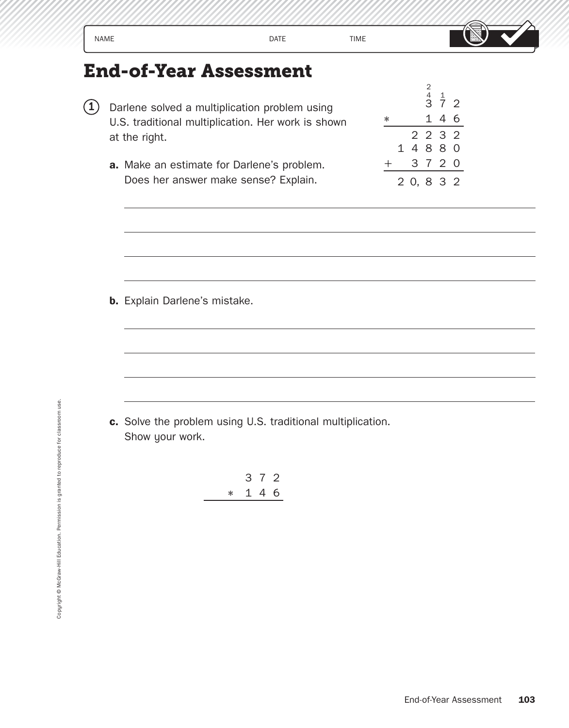|          | <b>NAME</b>                                                                                                                                                                                                                                 | <b>DATE</b>    | <b>TIME</b> |                                                                                                                               |
|----------|---------------------------------------------------------------------------------------------------------------------------------------------------------------------------------------------------------------------------------------------|----------------|-------------|-------------------------------------------------------------------------------------------------------------------------------|
| $\bf(1)$ | <b>End-of-Year Assessment</b><br>Darlene solved a multiplication problem using<br>U.S. traditional multiplication. Her work is shown<br>at the right.<br>a. Make an estimate for Darlene's problem.<br>Does her answer make sense? Explain. |                |             | $\begin{array}{ccc} 2 & 1 \\ 4 & 1 \\ 3 & 7 \end{array}$<br>1 4 6<br>$\ast$<br>2 2 3 2<br>14880<br>3 7 2 0<br>十<br>2 0, 8 3 2 |
|          | <b>b.</b> Explain Darlene's mistake.                                                                                                                                                                                                        |                |             |                                                                                                                               |
|          | c. Solve the problem using U.S. traditional multiplication.<br>Show your work.<br>$\ast$                                                                                                                                                    | 3 7 2<br>1 4 6 |             |                                                                                                                               |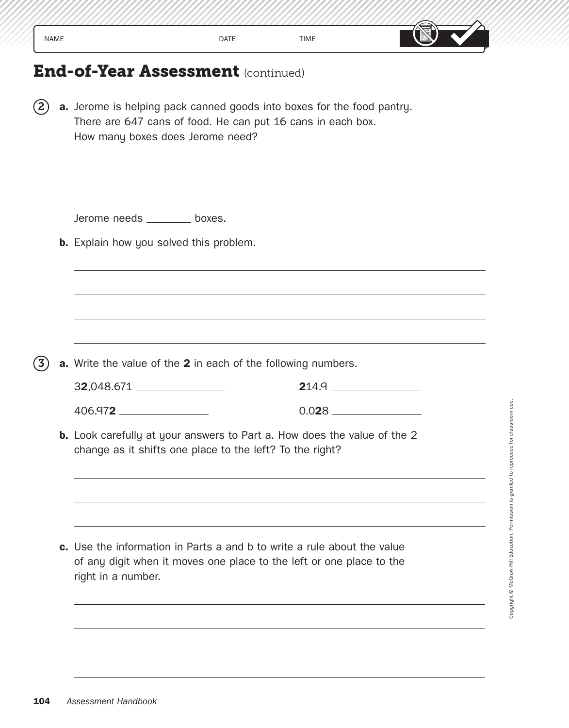| NAME | DATE | TIME | $\Delta$ $\sim$ $\sim$ $\sim$ $\sim$ $\sim$<br>en d<br>m.<br><u>, www</u><br>- جانالسا ہے |
|------|------|------|-------------------------------------------------------------------------------------------|

2 **a.** Jerome is helping pack canned goods into boxes for the food pantry. There are 647 cans of food. He can put 16 cans in each box. How many boxes does Jerome need?

|                                                | Jerome needs _______ boxes.                                                                                                                 |
|------------------------------------------------|---------------------------------------------------------------------------------------------------------------------------------------------|
| <b>b.</b> Explain how you solved this problem. |                                                                                                                                             |
|                                                |                                                                                                                                             |
|                                                |                                                                                                                                             |
|                                                |                                                                                                                                             |
|                                                | a. Write the value of the 2 in each of the following numbers.                                                                               |
| 32,048.671                                     |                                                                                                                                             |
| 406.972                                        |                                                                                                                                             |
|                                                | <b>b.</b> Look carefully at your answers to Part a. How does the value of the 2<br>change as it shifts one place to the left? To the right? |
|                                                |                                                                                                                                             |
|                                                |                                                                                                                                             |
|                                                | c. Use the information in Parts a and b to write a rule about the value                                                                     |
| right in a number.                             | of any digit when it moves one place to the left or one place to the                                                                        |

Copyright © McGraw-Hill Education. Permission is granted to reproduce for classroom use. Copyright © McGraw-Hill Education. Permission is granted to reproduce for classroom use.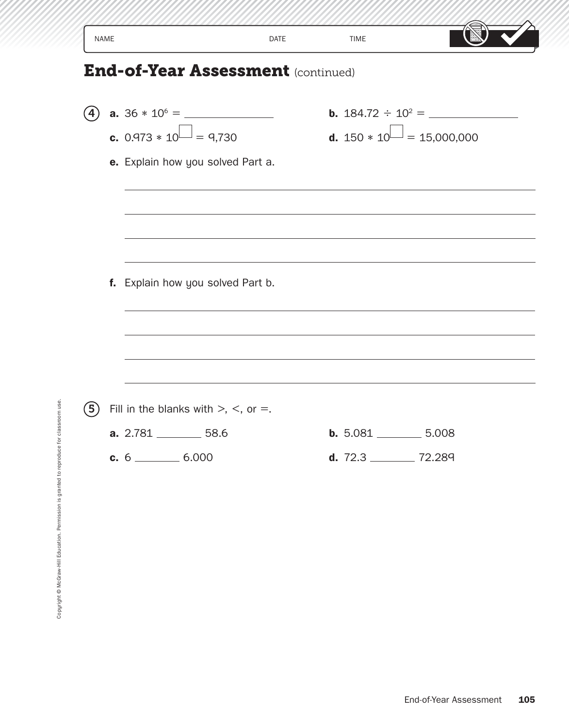|                                | <b>DATE</b> | <b>TIME</b>                                                                                                                                                      |
|--------------------------------|-------------|------------------------------------------------------------------------------------------------------------------------------------------------------------------|
|                                |             |                                                                                                                                                                  |
| <b>c.</b> 0.973 $* 10$ = 9,730 |             | <b>d.</b> $150 * 10 = 15,000,000$                                                                                                                                |
|                                |             |                                                                                                                                                                  |
| <b>a.</b> $2.781$ 58.6         |             | b. 5.081<br>5.008                                                                                                                                                |
|                                |             | <b>End-of-Year Assessment (continued)</b><br>e. Explain how you solved Part a.<br>f. Explain how you solved Part b.<br>Fill in the blanks with $>$ , $<$ , or =. |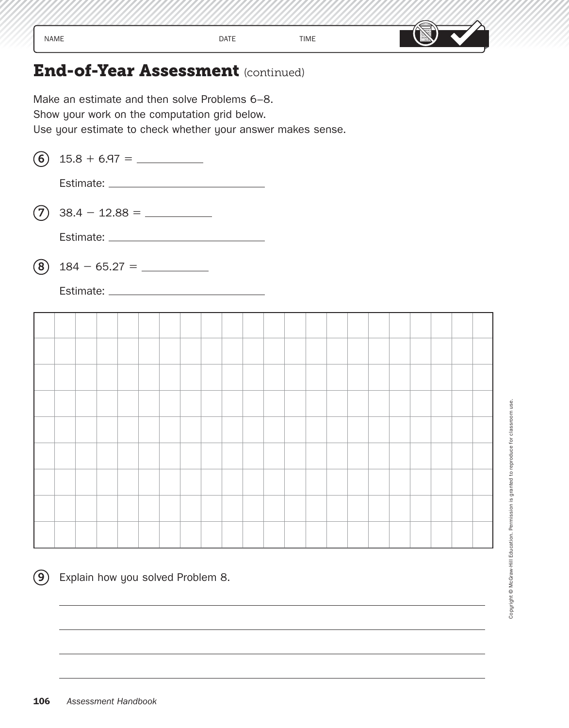| <b>NAME</b> | <b>DATE</b> | <b>TIME</b> | $\sim$ and $\sim$<br>leà |  |  |
|-------------|-------------|-------------|--------------------------|--|--|

Make an estimate and then solve Problems 6–8. Show your work on the computation grid below. Use your estimate to check whether your answer makes sense. **(6)**  $15.8 + 6.97 =$ 

Estimate:

7 38.4 - 12.88 =

Estimate:

8 184 - 65.27 =

Estimate:

 $(9)$  Explain how you solved Problem 8.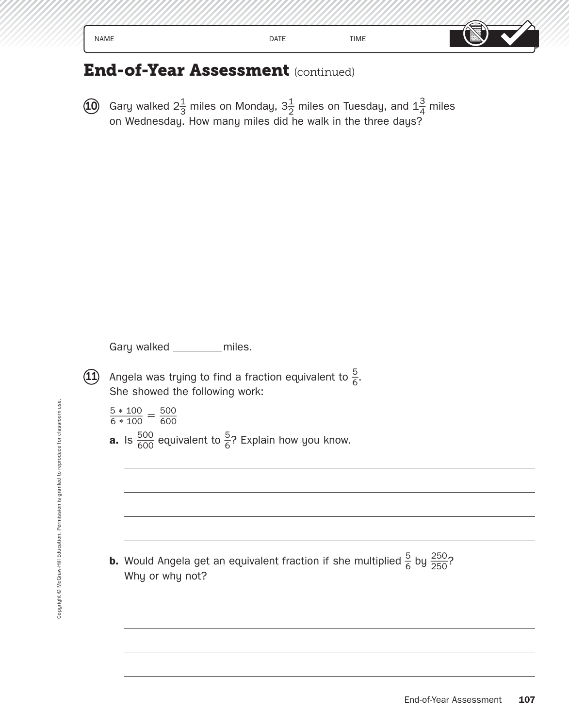| .<br>NAME<br>– | DATE | <b>TIME</b> | <b>Show</b><br>וכוס |
|----------------|------|-------------|---------------------|
|----------------|------|-------------|---------------------|

 $\widehat{\mathbf{10}}$  Gary walked  $2\frac{1}{3}$  miles on Monday,  $3\frac{1}{2}$  miles on Tuesday, and  $1\frac{3}{4}$  miles on Wednesday. How many miles did he walk in the three days?

Gary walked \_\_\_\_\_\_\_ miles.

- **11** Angela was trying to find a fraction equivalent to  $\frac{5}{6}$ .<br>She showed the following work:<br> $\frac{5 * 100}{6 * 100} = \frac{500}{600}$ She showed the following work:
	- She showed t<br> $\frac{5 * 100}{6 * 100} = \frac{500}{600}$
	- 600
	- $\frac{6*100}{6*100} = \frac{200}{600}$ <br>**a.** Is  $\frac{500}{600}$  equivalent to  $\frac{5}{6}$ ? Explain how you know.

**b.** Would Angela get an equivalent fraction if she multiplied  $\frac{5}{6}$  $\frac{5}{6}$  by  $\frac{250}{250}$ 250 ף<br>250 Why or why not?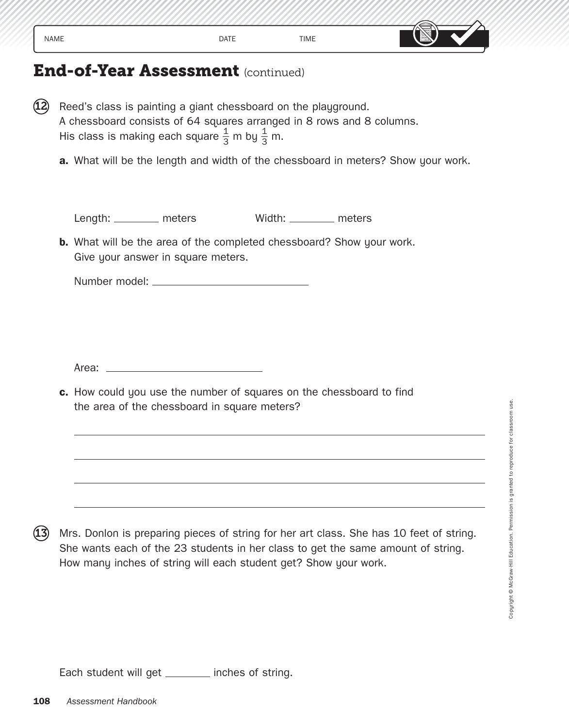| NAME |      |      | $\rightarrow$ $\rho$ oo $\rho$ . |
|------|------|------|----------------------------------|
|      | DATE | TIME | 圖                                |

- $(12)$  Reed's class is painting a giant chessboard on the playground. A chessboard consists of 64 squares arranged in 8 rows and 8 columns. His class is making each square  $\frac{1}{3}$  m by  $\frac{1}{3}$  m.
	- **a.** What will be the length and width of the chessboard in meters? Show your work.

Length: \_\_\_\_\_\_\_\_ meters Width: \_\_\_\_\_\_\_ meters

**b.** What will be the area of the completed chessboard? Show your work. Give your answer in square meters.

Number model:

Area: \_\_\_

**c.** How could you use the number of squares on the chessboard to find the area of the chessboard in square meters?

Mrs. Donlon is preparing pieces of string for her art class. She has 10 feet of string. She wants each of the 23 students in her class to get the same amount of string. How many inches of string will each student get? Show your work.

Each student will get \_\_\_\_\_\_\_ inches of string.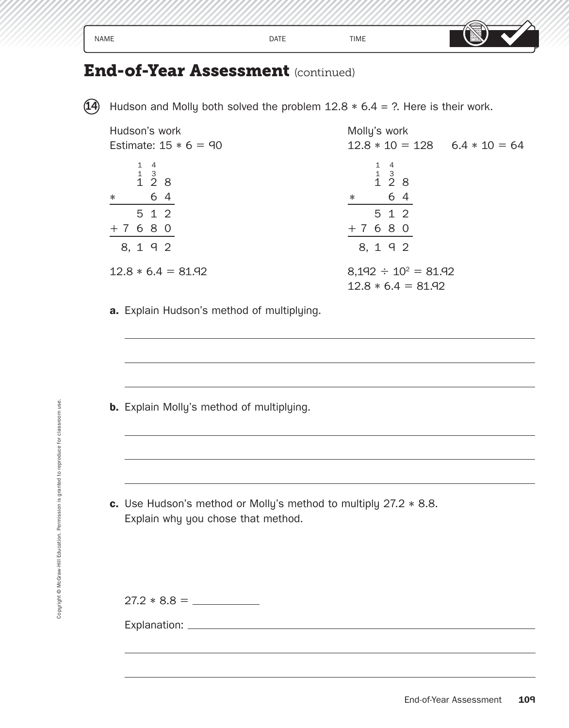| <b>NAME</b> | <b>DATE</b> | <b>TIME</b> | . .<br><b>NOOL</b><br>$\overline{\phantom{0}}$<br>--- |
|-------------|-------------|-------------|-------------------------------------------------------|
|-------------|-------------|-------------|-------------------------------------------------------|

14 Hudson and Molly both solved the problem  $12.8 * 6.4 = ?$ . Here is their work.

| Hudson's work                                                | Molly's work                                                 |
|--------------------------------------------------------------|--------------------------------------------------------------|
| Estimate: $15 * 6 = 90$                                      | $12.8 * 10 = 128$ $6.4 * 10 = 64$                            |
| $\begin{array}{ccc} 1 & 4 \\ 1 & 3 \\ 1 & 2 & 8 \end{array}$ | $\begin{array}{ccc} 1 & 4 \\ 1 & 3 \\ 1 & 2 & 8 \end{array}$ |
| 6 4<br>$\ast$                                                | 6 4<br>$\ast$                                                |
| 5 1 2                                                        | 5 1 2                                                        |
| $+7680$                                                      | $+7680$                                                      |
| 8, 1 9 2                                                     | 8, 1 9 2                                                     |
| $12.8 * 6.4 = 81.92$                                         | $8,192 \div 10^2 = 81.92$<br>$12.8 * 6.4 = 81.92$            |

**a.** Explain Hudson's method of multiplying.

**b.** Explain Molly's method of multiplying.

**c.** Use Hudson's method or Molly's method to multiply 27.2 ∗ 8.8. Explain why you chose that method.

27.2 ∗ 8.8 =

Explanation: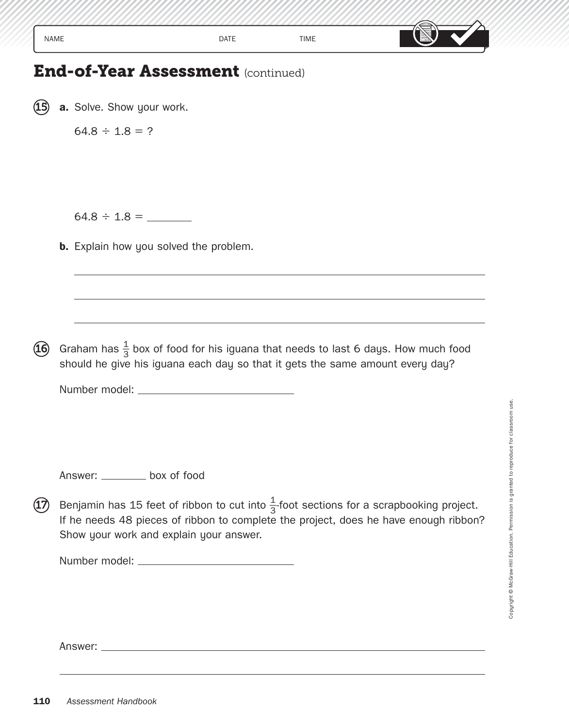| $\cdot$ . $\rightarrow$ $\rightarrow$<br>DATE<br>TIME<br>NAME<br>-<br>حامصه |  |  |  |
|-----------------------------------------------------------------------------|--|--|--|
|-----------------------------------------------------------------------------|--|--|--|

**15 a.** Solve. Show your work.

 $64.8 \div 1.8 = ?$ 

64.8 ÷ 1.8 =

**b.** Explain how you solved the problem.

 $\bf 16$  Graham has  $\frac{1}{3}$  box of food for his iguana that needs to last 6 days. How much food should he give his iguana each day so that it gets the same amount every day?

Number model:

Answer: \_\_\_\_\_\_\_\_\_ box of food

 $\mathfrak{D}\!\!\!\!\!\!\!\!$  Benjamin has 15 feet of ribbon to cut into  $\frac{1}{3}$ -foot sections for a scrapbooking project. If he needs 48 pieces of ribbon to complete the project, does he have enough ribbon? Show your work and explain your answer.

Number model:

Answer: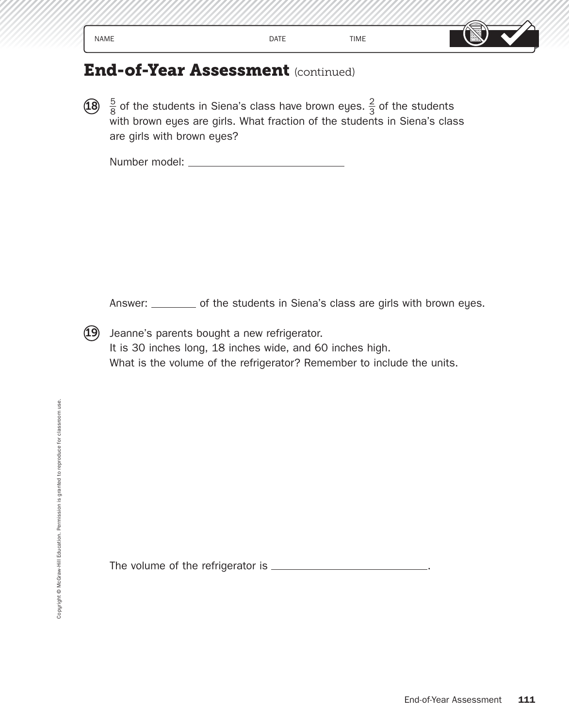| NAME                    | DATE | TIME | __<br>– صافق ہے ج<br>وقق<br>. |
|-------------------------|------|------|-------------------------------|
| $\sim$<br>$\sim$<br>___ |      |      |                               |

 $\overline{18}$   $\frac{5}{8}$  of the students in Siena's class have brown eyes.  $\frac{2}{3}$  of the students with brown eyes are girls. What fraction of the students in Siena's class are girls with brown eyes?

Number model:

Answer: \_\_\_\_\_\_\_ of the students in Siena's class are girls with brown eyes.

19 Jeanne's parents bought a new refrigerator. It is 30 inches long, 18 inches wide, and 60 inches high. What is the volume of the refrigerator? Remember to include the units.

The volu me of the refrigerator is .